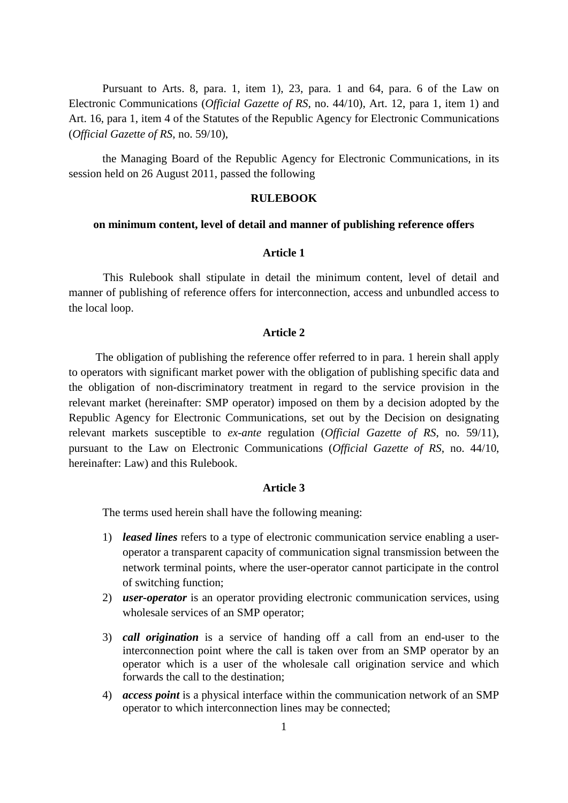Pursuant to Arts. 8, para. 1, item 1), 23, para. 1 and 64, para. 6 of the Law on Electronic Communications (*Official Gazette of RS*, no. 44/10), Art. 12, para 1, item 1) and Art. 16, para 1, item 4 of the Statutes of the Republic Agency for Electronic Communications (*Official Gazette of RS*, no. 59/10),

the Managing Board of the Republic Agency for Electronic Communications, in its session held on 26 August 2011, passed the following

## **RULEBOOK**

## **on minimum content, level of detail and manner of publishing reference offers**

## **Article 1**

This Rulebook shall stipulate in detail the minimum content, level of detail and manner of publishing of reference offers for interconnection, access and unbundled access to the local loop.

### **Article 2**

The obligation of publishing the reference offer referred to in para. 1 herein shall apply to operators with significant market power with the obligation of publishing specific data and the obligation of non-discriminatory treatment in regard to the service provision in the relevant market (hereinafter: SMP operator) imposed on them by a decision adopted by the Republic Agency for Electronic Communications, set out by the Decision on designating relevant markets susceptible to *ex-ante* regulation (*Official Gazette of RS*, no. 59/11), pursuant to the Law on Electronic Communications (*Official Gazette of RS*, no. 44/10, hereinafter: Law) and this Rulebook.

#### **Article 3**

The terms used herein shall have the following meaning:

- 1) *leased lines* refers to a type of electronic communication service enabling a useroperator a transparent capacity of communication signal transmission between the network terminal points, where the user-operator cannot participate in the control of switching function;
- 2) *user-operator* is an operator providing electronic communication services, using wholesale services of an SMP operator;
- 3) *call origination* is a service of handing off a call from an end-user to the interconnection point where the call is taken over from an SMP operator by an operator which is a user of the wholesale call origination service and which forwards the call to the destination;
- 4) *access point* is a physical interface within the communication network of an SMP operator to which interconnection lines may be connected;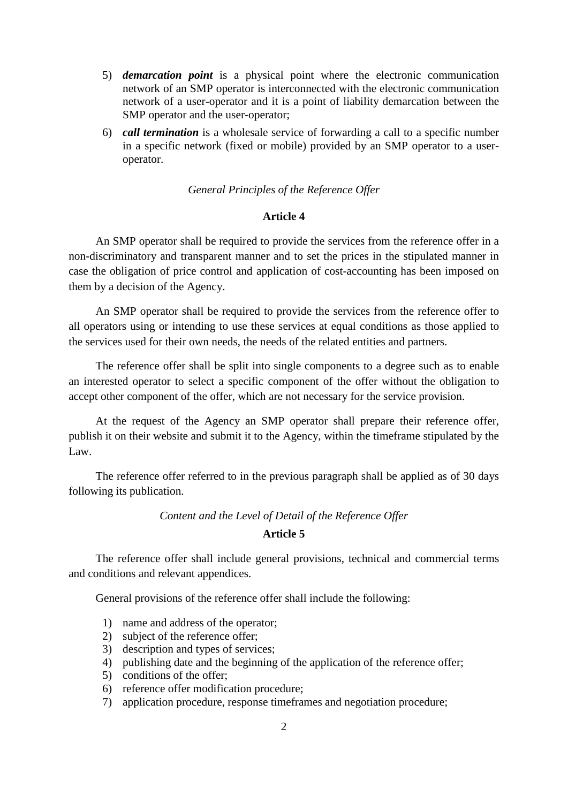- 5) *demarcation point* is a physical point where the electronic communication network of an SMP operator is interconnected with the electronic communication network of a user-operator and it is a point of liability demarcation between the SMP operator and the user-operator;
- 6) *call termination* is a wholesale service of forwarding a call to a specific number in a specific network (fixed or mobile) provided by an SMP operator to a useroperator.

## *General Principles of the Reference Offer*

# **Article 4**

An SMP operator shall be required to provide the services from the reference offer in a non-discriminatory and transparent manner and to set the prices in the stipulated manner in case the obligation of price control and application of cost-accounting has been imposed on them by a decision of the Agency.

An SMP operator shall be required to provide the services from the reference offer to all operators using or intending to use these services at equal conditions as those applied to the services used for their own needs, the needs of the related entities and partners.

The reference offer shall be split into single components to a degree such as to enable an interested operator to select a specific component of the offer without the obligation to accept other component of the offer, which are not necessary for the service provision.

At the request of the Agency an SMP operator shall prepare their reference offer, publish it on their website and submit it to the Agency, within the timeframe stipulated by the Law.

The reference offer referred to in the previous paragraph shall be applied as of 30 days following its publication.

# *Content and the Level of Detail of the Reference Offer*

## **Article 5**

The reference offer shall include general provisions, technical and commercial terms and conditions and relevant appendices.

General provisions of the reference offer shall include the following:

- 1) name and address of the operator;
- 2) subject of the reference offer;
- 3) description and types of services;
- 4) publishing date and the beginning of the application of the reference offer;
- 5) conditions of the offer;
- 6) reference offer modification procedure;
- 7) application procedure, response timeframes and negotiation procedure;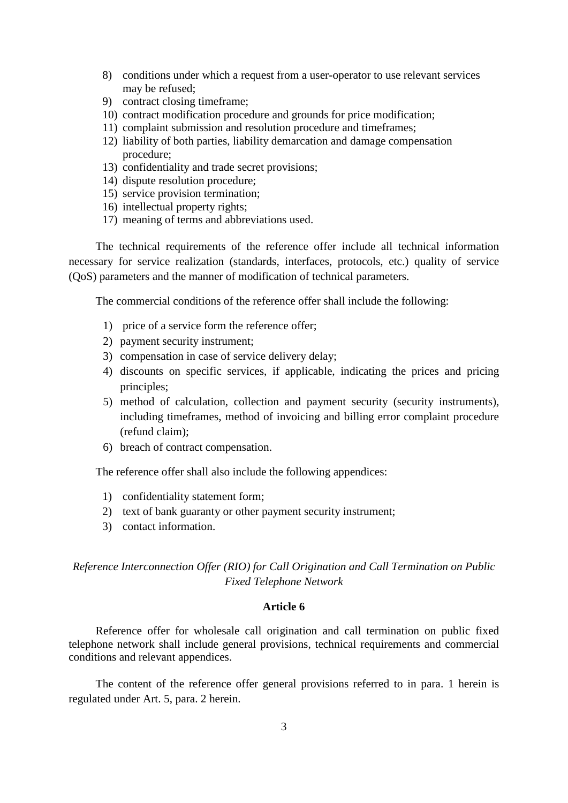- 8) conditions under which a request from a user-operator to use relevant services may be refused;
- 9) contract closing timeframe;
- 10) contract modification procedure and grounds for price modification;
- 11) complaint submission and resolution procedure and timeframes;
- 12) liability of both parties, liability demarcation and damage compensation procedure;
- 13) confidentiality and trade secret provisions;
- 14) dispute resolution procedure;
- 15) service provision termination;
- 16) intellectual property rights;
- 17) meaning of terms and abbreviations used.

The technical requirements of the reference offer include all technical information necessary for service realization (standards, interfaces, protocols, etc.) quality of service (QoS) parameters and the manner of modification of technical parameters.

The commercial conditions of the reference offer shall include the following:

- 1) price of a service form the reference offer;
- 2) payment security instrument;
- 3) compensation in case of service delivery delay;
- 4) discounts on specific services, if applicable, indicating the prices and pricing principles;
- 5) method of calculation, collection and payment security (security instruments), including timeframes, method of invoicing and billing error complaint procedure (refund claim);
- 6) breach of contract compensation.

The reference offer shall also include the following appendices:

- 1) confidentiality statement form;
- 2) text of bank guaranty or other payment security instrument;
- 3) contact information.

*Reference Interconnection Offer (RIO) for Call Origination and Call Termination on Public Fixed Telephone Network* 

#### **Article 6**

Reference offer for wholesale call origination and call termination on public fixed telephone network shall include general provisions, technical requirements and commercial conditions and relevant appendices.

The content of the reference offer general provisions referred to in para. 1 herein is regulated under Art. 5, para. 2 herein.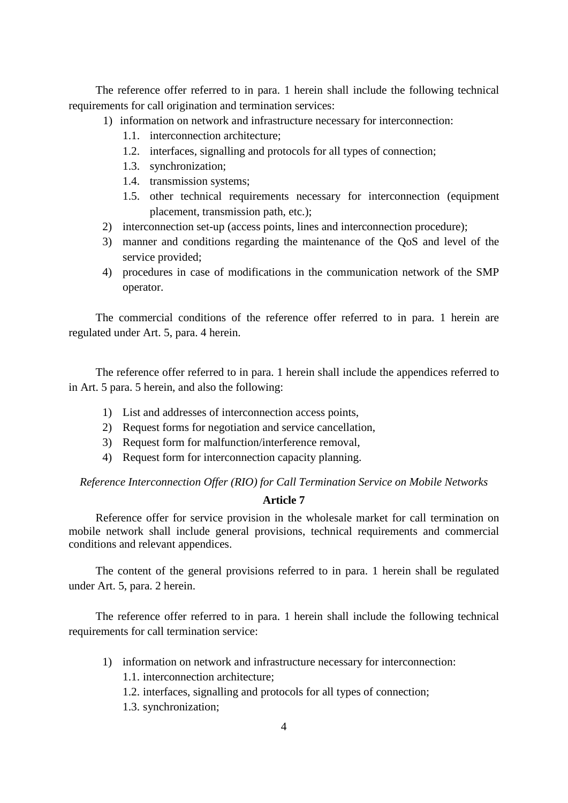The reference offer referred to in para. 1 herein shall include the following technical requirements for call origination and termination services:

- 1) information on network and infrastructure necessary for interconnection:
	- 1.1. interconnection architecture;
	- 1.2. interfaces, signalling and protocols for all types of connection;
	- 1.3. synchronization;
	- 1.4. transmission systems;
	- 1.5. other technical requirements necessary for interconnection (equipment placement, transmission path, etc.);
- 2) interconnection set-up (access points, lines and interconnection procedure);
- 3) manner and conditions regarding the maintenance of the QoS and level of the service provided;
- 4) procedures in case of modifications in the communication network of the SMP operator.

The commercial conditions of the reference offer referred to in para. 1 herein are regulated under Art. 5, para. 4 herein.

The reference offer referred to in para. 1 herein shall include the appendices referred to in Art. 5 para. 5 herein, and also the following:

- 1) List and addresses of interconnection access points,
- 2) Request forms for negotiation and service cancellation,
- 3) Request form for malfunction/interference removal,
- 4) Request form for interconnection capacity planning.

*Reference Interconnection Offer (RIO) for Call Termination Service on Mobile Networks*

#### **Article 7**

Reference offer for service provision in the wholesale market for call termination on mobile network shall include general provisions, technical requirements and commercial conditions and relevant appendices.

The content of the general provisions referred to in para. 1 herein shall be regulated under Art. 5, para. 2 herein.

The reference offer referred to in para. 1 herein shall include the following technical requirements for call termination service:

- 1) information on network and infrastructure necessary for interconnection:
	- 1.1. interconnection architecture;
	- 1.2. interfaces, signalling and protocols for all types of connection;
	- 1.3. synchronization;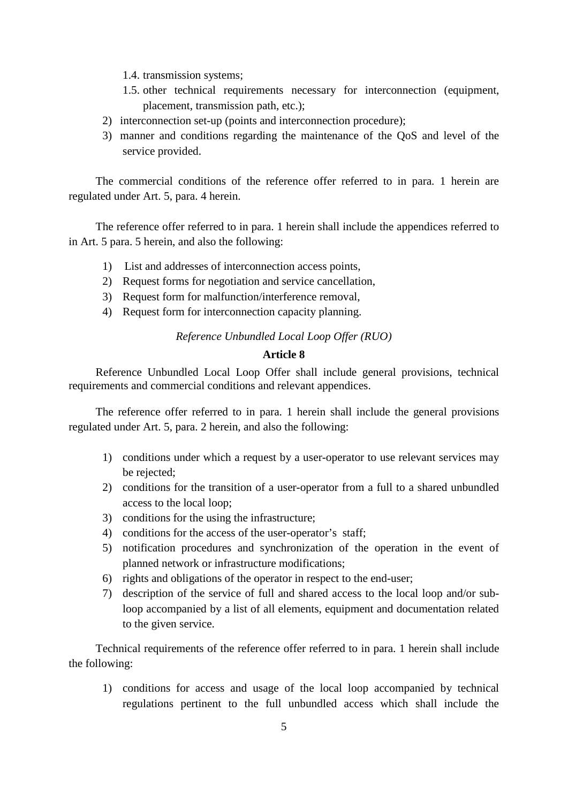1.4. transmission systems;

- 1.5. other technical requirements necessary for interconnection (equipment, placement, transmission path, etc.);
- 2) interconnection set-up (points and interconnection procedure);
- 3) manner and conditions regarding the maintenance of the QoS and level of the service provided.

The commercial conditions of the reference offer referred to in para. 1 herein are regulated under Art. 5, para. 4 herein.

The reference offer referred to in para. 1 herein shall include the appendices referred to in Art. 5 para. 5 herein, and also the following:

- 1) List and addresses of interconnection access points,
- 2) Request forms for negotiation and service cancellation,
- 3) Request form for malfunction/interference removal,
- 4) Request form for interconnection capacity planning.

# *Reference Unbundled Local Loop Offer (RUO)*

# **Article 8**

Reference Unbundled Local Loop Offer shall include general provisions, technical requirements and commercial conditions and relevant appendices.

The reference offer referred to in para. 1 herein shall include the general provisions regulated under Art. 5, para. 2 herein, and also the following:

- 1) conditions under which a request by a user-operator to use relevant services may be rejected;
- 2) conditions for the transition of a user-operator from a full to a shared unbundled access to the local loop;
- 3) conditions for the using the infrastructure;
- 4) conditions for the access of the user-operator's staff;
- 5) notification procedures and synchronization of the operation in the event of planned network or infrastructure modifications;
- 6) rights and obligations of the operator in respect to the end-user;
- 7) description of the service of full and shared access to the local loop and/or subloop accompanied by a list of all elements, equipment and documentation related to the given service.

Technical requirements of the reference offer referred to in para. 1 herein shall include the following:

1) conditions for access and usage of the local loop accompanied by technical regulations pertinent to the full unbundled access which shall include the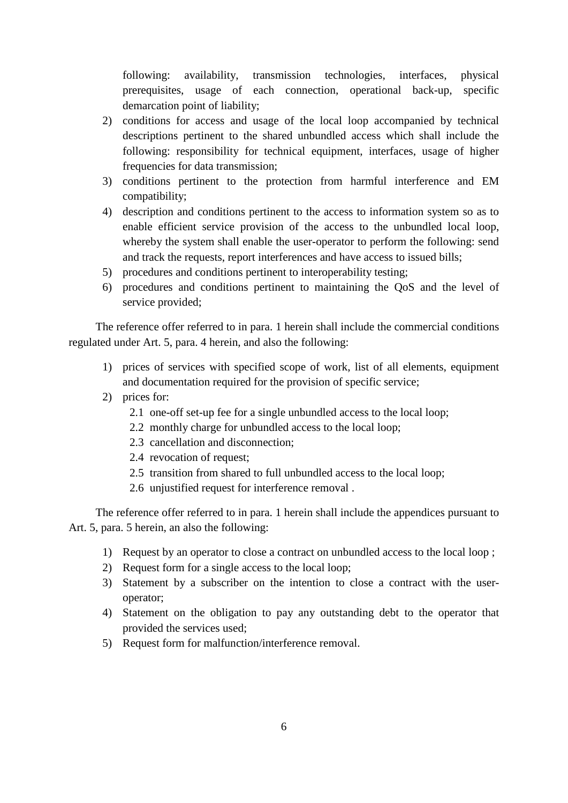following: availability, transmission technologies, interfaces, physical prerequisites, usage of each connection, operational back-up, specific demarcation point of liability;

- 2) conditions for access and usage of the local loop accompanied by technical descriptions pertinent to the shared unbundled access which shall include the following: responsibility for technical equipment, interfaces, usage of higher frequencies for data transmission;
- 3) conditions pertinent to the protection from harmful interference and EM compatibility;
- 4) description and conditions pertinent to the access to information system so as to enable efficient service provision of the access to the unbundled local loop, whereby the system shall enable the user-operator to perform the following: send and track the requests, report interferences and have access to issued bills;
- 5) procedures and conditions pertinent to interoperability testing;
- 6) procedures and conditions pertinent to maintaining the QoS and the level of service provided;

The reference offer referred to in para. 1 herein shall include the commercial conditions regulated under Art. 5, para. 4 herein, and also the following:

- 1) prices of services with specified scope of work, list of all elements, equipment and documentation required for the provision of specific service;
- 2) prices for:
	- 2.1 one-off set-up fee for a single unbundled access to the local loop;
	- 2.2 monthly charge for unbundled access to the local loop;
	- 2.3 cancellation and disconnection;
	- 2.4 revocation of request;
	- 2.5 transition from shared to full unbundled access to the local loop;
	- 2.6 unjustified request for interference removal .

The reference offer referred to in para. 1 herein shall include the appendices pursuant to Art. 5, para. 5 herein, an also the following:

- 1) Request by an operator to close a contract on unbundled access to the local loop ;
- 2) Request form for a single access to the local loop;
- 3) Statement by a subscriber on the intention to close a contract with the useroperator;
- 4) Statement on the obligation to pay any outstanding debt to the operator that provided the services used;
- 5) Request form for malfunction/interference removal.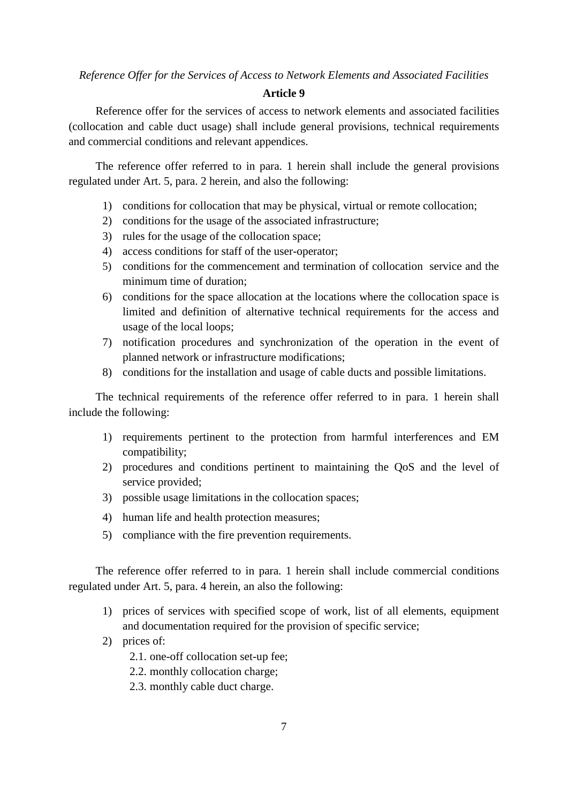*Reference Offer for the Services of Access to Network Elements and Associated Facilities* 

# **Article 9**

Reference offer for the services of access to network elements and associated facilities (collocation and cable duct usage) shall include general provisions, technical requirements and commercial conditions and relevant appendices.

The reference offer referred to in para. 1 herein shall include the general provisions regulated under Art. 5, para. 2 herein, and also the following:

- 1) conditions for collocation that may be physical, virtual or remote collocation;
- 2) conditions for the usage of the associated infrastructure;
- 3) rules for the usage of the collocation space;
- 4) access conditions for staff of the user-operator;
- 5) conditions for the commencement and termination of collocation service and the minimum time of duration;
- 6) conditions for the space allocation at the locations where the collocation space is limited and definition of alternative technical requirements for the access and usage of the local loops;
- 7) notification procedures and synchronization of the operation in the event of planned network or infrastructure modifications;
- 8) conditions for the installation and usage of cable ducts and possible limitations.

The technical requirements of the reference offer referred to in para. 1 herein shall include the following:

- 1) requirements pertinent to the protection from harmful interferences and EM compatibility;
- 2) procedures and conditions pertinent to maintaining the QoS and the level of service provided;
- 3) possible usage limitations in the collocation spaces;
- 4) human life and health protection measures;
- 5) compliance with the fire prevention requirements.

The reference offer referred to in para. 1 herein shall include commercial conditions regulated under Art. 5, para. 4 herein, an also the following:

- 1) prices of services with specified scope of work, list of all elements, equipment and documentation required for the provision of specific service;
- 2) prices of:
	- 2.1. one-off collocation set-up fee;
	- 2.2. monthly collocation charge;
	- 2.3. monthly cable duct charge.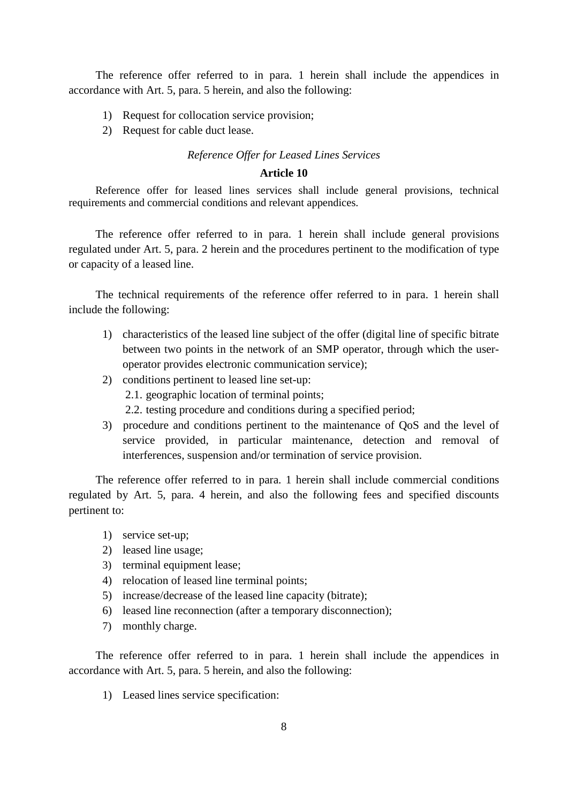The reference offer referred to in para. 1 herein shall include the appendices in accordance with Art. 5, para. 5 herein, and also the following:

- 1) Request for collocation service provision;
- 2) Request for cable duct lease.

## *Reference Offer for Leased Lines Services*

# **Article 10**

Reference offer for leased lines services shall include general provisions, technical requirements and commercial conditions and relevant appendices.

The reference offer referred to in para. 1 herein shall include general provisions regulated under Art. 5, para. 2 herein and the procedures pertinent to the modification of type or capacity of a leased line.

The technical requirements of the reference offer referred to in para. 1 herein shall include the following:

- 1) characteristics of the leased line subject of the offer (digital line of specific bitrate between two points in the network of an SMP operator, through which the useroperator provides electronic communication service);
- 2) conditions pertinent to leased line set-up: 2.1. geographic location of terminal points;
	- 2.2. testing procedure and conditions during a specified period;
- 3) procedure and conditions pertinent to the maintenance of QoS and the level of service provided, in particular maintenance, detection and removal of interferences, suspension and/or termination of service provision.

The reference offer referred to in para. 1 herein shall include commercial conditions regulated by Art. 5, para. 4 herein, and also the following fees and specified discounts pertinent to:

- 1) service set-up;
- 2) leased line usage;
- 3) terminal equipment lease;
- 4) relocation of leased line terminal points;
- 5) increase/decrease of the leased line capacity (bitrate);
- 6) leased line reconnection (after a temporary disconnection);
- 7) monthly charge.

The reference offer referred to in para. 1 herein shall include the appendices in accordance with Art. 5, para. 5 herein, and also the following:

1) Leased lines service specification: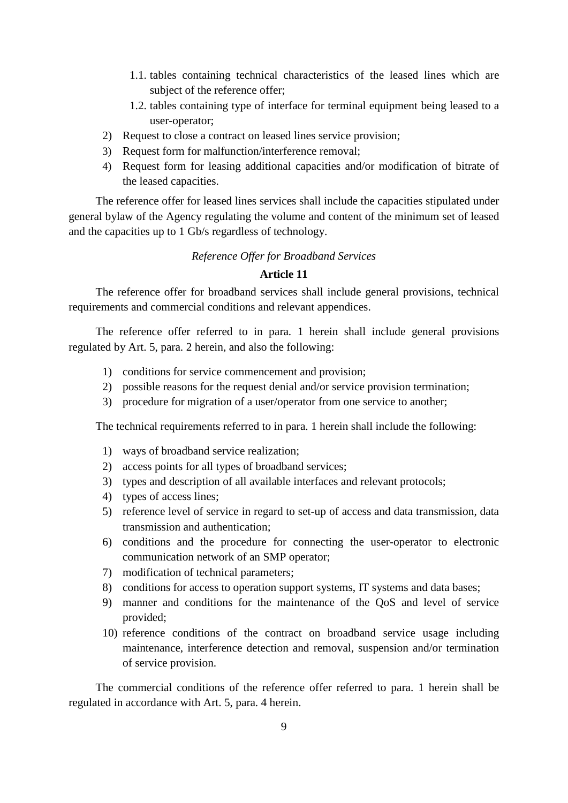- 1.1. tables containing technical characteristics of the leased lines which are subject of the reference offer;
- 1.2. tables containing type of interface for terminal equipment being leased to a user-operator;
- 2) Request to close a contract on leased lines service provision;
- 3) Request form for malfunction/interference removal;
- 4) Request form for leasing additional capacities and/or modification of bitrate of the leased capacities.

The reference offer for leased lines services shall include the capacities stipulated under general bylaw of the Agency regulating the volume and content of the minimum set of leased and the capacities up to 1 Gb/s regardless of technology.

# *Reference Offer for Broadband Services*

# **Article 11**

The reference offer for broadband services shall include general provisions, technical requirements and commercial conditions and relevant appendices.

The reference offer referred to in para. 1 herein shall include general provisions regulated by Art. 5, para. 2 herein, and also the following:

- 1) conditions for service commencement and provision;
- 2) possible reasons for the request denial and/or service provision termination;
- 3) procedure for migration of a user/operator from one service to another;

The technical requirements referred to in para. 1 herein shall include the following:

- 1) ways of broadband service realization;
- 2) access points for all types of broadband services;
- 3) types and description of all available interfaces and relevant protocols;
- 4) types of access lines;
- 5) reference level of service in regard to set-up of access and data transmission, data transmission and authentication;
- 6) conditions and the procedure for connecting the user-operator to electronic communication network of an SMP operator;
- 7) modification of technical parameters;
- 8) conditions for access to operation support systems, IT systems and data bases;
- 9) manner and conditions for the maintenance of the QoS and level of service provided;
- 10) reference conditions of the contract on broadband service usage including maintenance, interference detection and removal, suspension and/or termination of service provision.

The commercial conditions of the reference offer referred to para. 1 herein shall be regulated in accordance with Art. 5, para. 4 herein.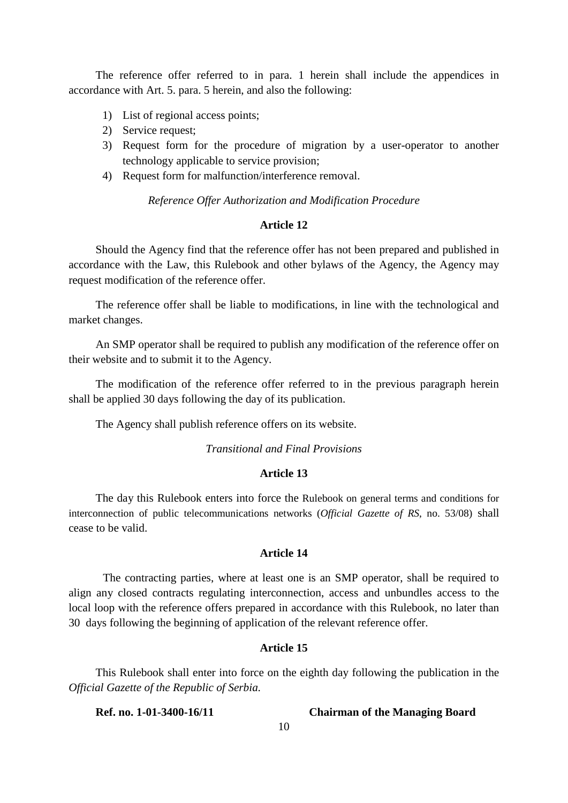The reference offer referred to in para. 1 herein shall include the appendices in accordance with Art. 5. para. 5 herein, and also the following:

- 1) List of regional access points;
- 2) Service request;
- 3) Request form for the procedure of migration by a user-operator to another technology applicable to service provision;
- 4) Request form for malfunction/interference removal.

## *Reference Offer Authorization and Modification Procedure*

## **Article 12**

Should the Agency find that the reference offer has not been prepared and published in accordance with the Law, this Rulebook and other bylaws of the Agency, the Agency may request modification of the reference offer.

The reference offer shall be liable to modifications, in line with the technological and market changes.

An SMP operator shall be required to publish any modification of the reference offer on their website and to submit it to the Agency.

The modification of the reference offer referred to in the previous paragraph herein shall be applied 30 days following the day of its publication.

The Agency shall publish reference offers on its website.

# *Transitional and Final Provisions*

## **Article 13**

The day this Rulebook enters into force the Rulebook on general terms and conditions for interconnection of public telecommunications networks (*Official Gazette of RS*, no. 53/08) shall cease to be valid.

# **Article 14**

The contracting parties, where at least one is an SMP operator, shall be required to align any closed contracts regulating interconnection, access and unbundles access to the local loop with the reference offers prepared in accordance with this Rulebook, no later than 30 days following the beginning of application of the relevant reference offer.

## **Article 15**

This Rulebook shall enter into force on the eighth day following the publication in the *Official Gazette of the Republic of Serbia.* 

**Ref. no. 1-01-3400-16/11 Chairman of the Managing Board**